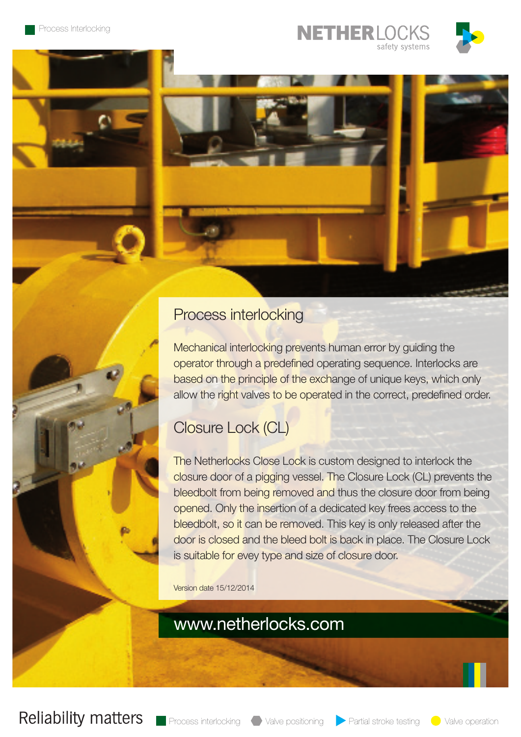







## Process interlocking

Mechanical interlocking prevents human error by guiding the operator through a predefined operating sequence. Interlocks are based on the principle of the exchange of unique keys, which only allow the right valves to be operated in the correct, predefined order.

# Closure Lock (CL)

The Netherlocks Close Lock is custom designed to interlock the closure door of a pigging vessel. The Closure Lock (CL) prevents the bleedbolt from being removed and thus the closure door from being opened. Only the insertion of a dedicated key frees access to the bleedbolt, so it can be removed. This key is only released after the door is closed and the bleed bolt is back in place. The Closure Lock is suitable for evey type and size of closure door.

Version date 15/12/2014

www.netherlocks.com

**Reliability matters** 

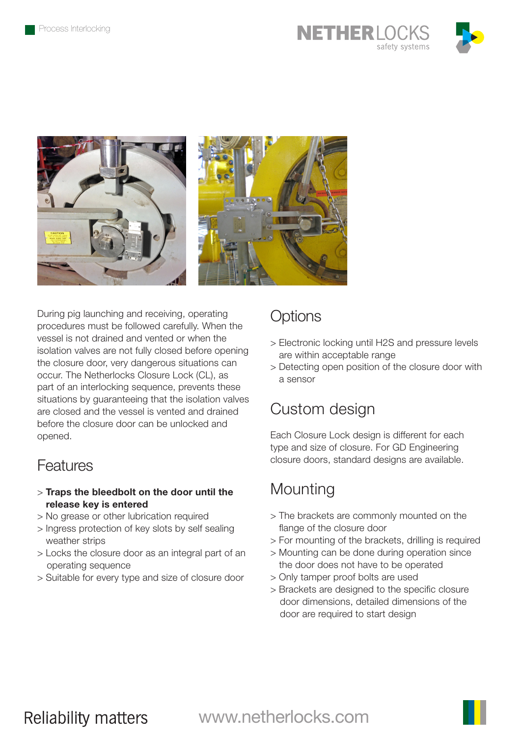





During pig launching and receiving, operating procedures must be followed carefully. When the vessel is not drained and vented or when the isolation valves are not fully closed before opening the closure door, very dangerous situations can occur. The Netherlocks Closure Lock (CL), as part of an interlocking sequence, prevents these situations by guaranteeing that the isolation valves are closed and the vessel is vented and drained before the closure door can be unlocked and opened.

#### Features

- > Traps the bleedbolt on the door until the release key is entered
- > No grease or other lubrication required
- > Ingress protection of key slots by self sealing weather strips
- > Locks the closure door as an integral part of an operating sequence
- > Suitable for every type and size of closure door

#### **Options**

- > Electronic locking until H2S and pressure levels are within acceptable range
- > Detecting open position of the closure door with a sensor

## Custom design

Each Closure Lock design is different for each type and size of closure. For GD Engineering closure doors, standard designs are available.

# **Mounting**

- > The brackets are commonly mounted on the flange of the closure door
- > For mounting of the brackets, drilling is required
- > Mounting can be done during operation since the door does not have to be operated
- > Only tamper proof bolts are used
- > Brackets are designed to the specific closure door dimensions, detailed dimensions of the door are required to start design

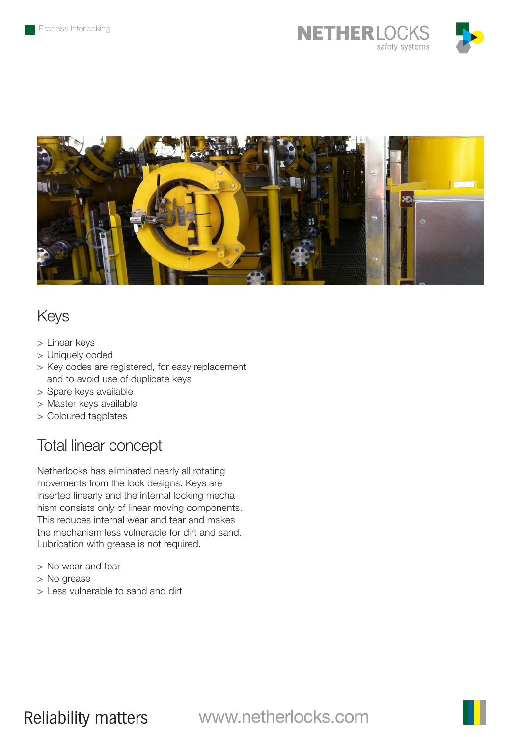



## Keys

- > Linear keys
- > Uniquely coded
- > Key codes are registered, for easy replacement and to avoid use of duplicate keys
- > Spare keys available
- > Master keys available
- > Coloured tagplates

#### Total linear concept

Netherlocks has eliminated nearly all rotating movements from the lock designs. Keys are inserted linearly and the internal locking mechanism consists only of linear moving components. This reduces internal wear and tear and makes the mechanism less vulnerable for dirt and sand. Lubrication with grease is not required.

- > No wear and tear
- > No grease
- > Less vulnerable to sand and dirt

**Reliability matters** 

www.netherlocks.com